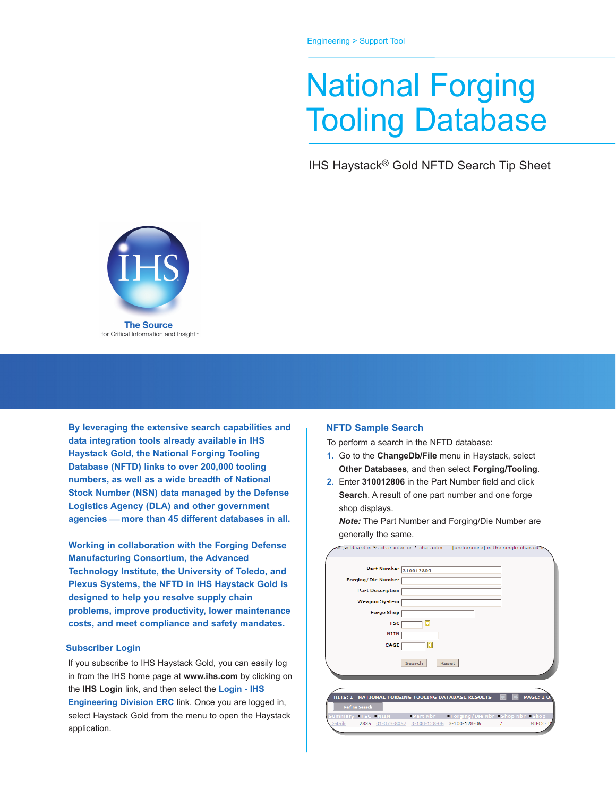## National Forging Tooling Database

IHS Haystack® Gold NFTD Search Tip Sheet



**By leveraging the extensive search capabilities and data integration tools already available in IHS Haystack Gold, the National Forging Tooling Database (NFTD) links to over 200,000 tooling numbers, as well as a wide breadth of National Stock Number (NSN) data managed by the Defense Logistics Agency (DLA) and other government agencies** ⎯ **more than 45 different databases in all.**

**Working in collaboration with the Forging Defense Manufacturing Consortium, the Advanced Technology Institute, the University of Toledo, and Plexus Systems, the NFTD in IHS Haystack Gold is designed to help you resolve supply chain problems, improve productivity, lower maintenance costs, and meet compliance and safety mandates.**

## **Subscriber Login**

If you subscribe to IHS Haystack Gold, you can easily log in from the IHS home page at **www.ihs.com** by clicking on the **IHS Login** link, and then select the **Login - IHS Engineering Division ERC** link. Once you are logged in, select Haystack Gold from the menu to open the Haystack application.

## **NFTD Sample Search**

To perform a search in the NFTD database:

- **1.** Go to the **ChangeDb/File** menu in Haystack, select **Other Databases**, and then select **Forging/Tooling**.
- **2.** Enter **310012806** in the Part Number field and click **Search**. A result of one part number and one forge shop displays.

*Note:* The Part Number and Forging/Die Number are generally the same.

| wildcard is % character or * character. _ junderscorej is the single character  |
|---------------------------------------------------------------------------------|
|                                                                                 |
| Part Number 310012806                                                           |
| Forging/Die Number                                                              |
| <b>Part Description</b>                                                         |
| <b>Weapon System</b>                                                            |
| <b>Forge Shop</b>                                                               |
| <b>FSC</b><br>п                                                                 |
| <b>NIIN</b>                                                                     |
| CAGE<br>Ŧ                                                                       |
|                                                                                 |
| Search<br><b>Reset</b>                                                          |
|                                                                                 |
|                                                                                 |
| <b>PAGE: 10</b><br>NATIONAL FORGING TOOLING DATABASE RESULTS<br><b>HITS: 1</b>  |
| <b>Refine Search</b>                                                            |
| <b>EPart Nbr Forging/Die Nbr Bhop Nbr Bhop</b><br>Summary FSC NIIN              |
| 3-100-128-06<br>SIFCO I<br><b>Details</b><br>2835 01-073-8057 3-100-128-06<br>7 |
|                                                                                 |